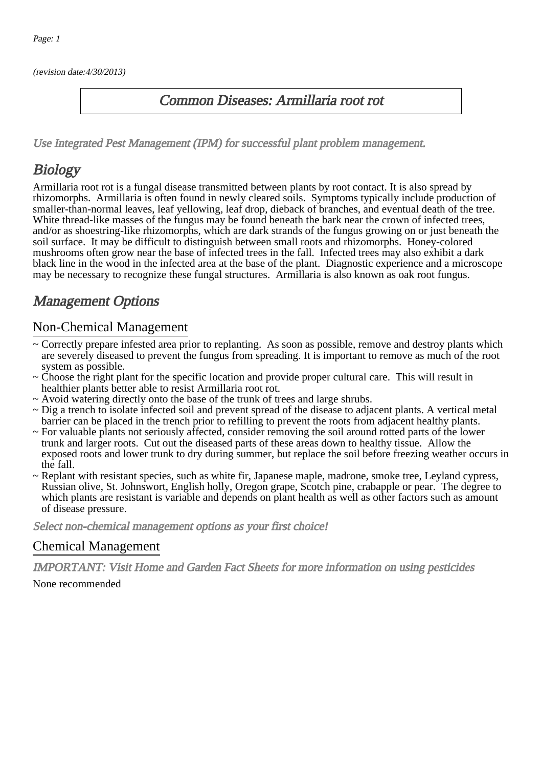(revision date:4/30/2013)

#### Common Diseases: Armillaria root rot

[Use Integrated Pest Management \(IPM\) for successful plant problem management.](http://pep.wsu.edu/Home_Garden/H_G_Pesticide_info/urban_Integrated_Pest_Managmen/)

## **Biology**

Armillaria root rot is a fungal disease transmitted between plants by root contact. It is also spread by rhizomorphs. Armillaria is often found in newly cleared soils. Symptoms typically include production of smaller-than-normal leaves, leaf yellowing, leaf drop, dieback of branches, and eventual death of the tree. White thread-like masses of the fungus may be found beneath the bark near the crown of infected trees, and/or as shoestring-like rhizomorphs, which are dark strands of the fungus growing on or just beneath the soil surface. It may be difficult to distinguish between small roots and rhizomorphs. Honey-colored mushrooms often grow near the base of infected trees in the fall. Infected trees may also exhibit a dark black line in the wood in the infected area at the base of the plant. Diagnostic experience and a microscope may be necessary to recognize these fungal structures. Armillaria is also known as oak root fungus.

## Management Options

#### Non-Chemical Management

- ~ Correctly prepare infested area prior to replanting. As soon as possible, remove and destroy plants which are severely diseased to prevent the fungus from spreading. It is important to remove as much of the root system as possible.
- ~ Choose the right plant for the specific location and provide proper cultural care. This will result in healthier plants better able to resist Armillaria root rot.
- ~ Avoid watering directly onto the base of the trunk of trees and large shrubs.
- ~ Dig a trench to isolate infected soil and prevent spread of the disease to adjacent plants. A vertical metal barrier can be placed in the trench prior to refilling to prevent the roots from adjacent healthy plants.
- ~ For valuable plants not seriously affected, consider removing the soil around rotted parts of the lower trunk and larger roots. Cut out the diseased parts of these areas down to healthy tissue. Allow the exposed roots and lower trunk to dry during summer, but replace the soil before freezing weather occurs in the fall.
- ~ Replant with resistant species, such as white fir, Japanese maple, madrone, smoke tree, Leyland cypress, Russian olive, St. Johnswort, English holly, Oregon grape, Scotch pine, crabapple or pear. The degree to which plants are resistant is variable and depends on plant health as well as other factors such as amount of disease pressure.

Select non-chemical management options as your first choice!

#### Chemical Management

IMPORTANT: [Visit Home and Garden Fact Sheets for more information on using pesticides](http://pep.wsu.edu/Home_Garden/H_G_Pesticide_info/) None recommended